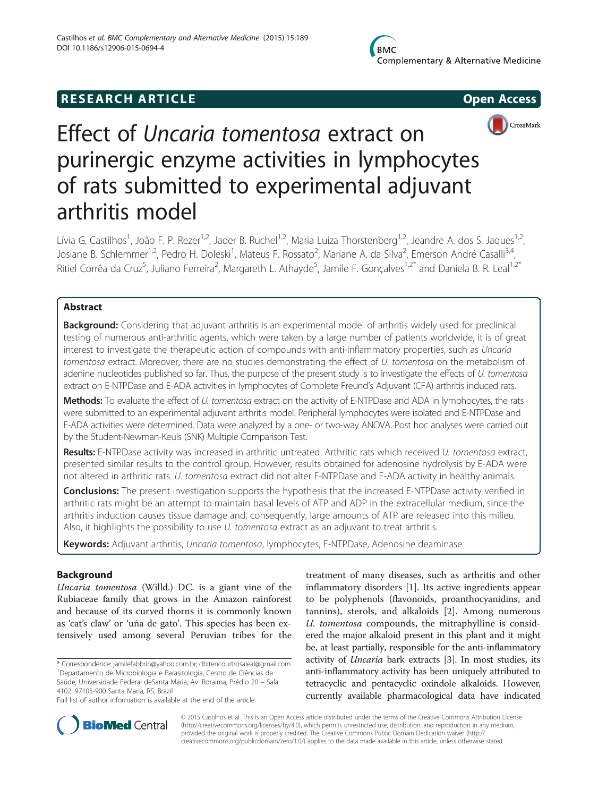# **RESEARCH ARTICLE Example 2014 12:30 The SEAR CHA RESEARCH ARTICLE**



# Effect of Uncaria tomentosa extract on purinergic enzyme activities in lymphocytes of rats submitted to experimental adjuvant arthritis model

Lívia G. Castilhos<sup>1</sup>, João F. P. Rezer<sup>1,2</sup>, Jader B. Ruchel<sup>1,2</sup>, Maria Luiza Thorstenberg<sup>1,2</sup>, Jeandre A. dos S. Jaques<sup>1,2</sup>, Josiane B. Schlemmer<sup>1,2</sup>, Pedro H. Doleski<sup>1</sup>, Mateus F. Rossato<sup>2</sup>, Mariane A. da Silva<sup>2</sup>, Emerson André Casalli<sup>3,4</sup>, Ritiel Corrêa da Cruz<sup>5</sup>, Juliano Ferreira<sup>2</sup>, Margareth L. Athayde<sup>5</sup>, Jamile F. Gonçalves<sup>1,2\*</sup> and Daniela B. R. Leal<sup>1,2\*</sup>

# Abstract

Background: Considering that adjuvant arthritis is an experimental model of arthritis widely used for preclinical testing of numerous anti-arthritic agents, which were taken by a large number of patients worldwide, it is of great interest to investigate the therapeutic action of compounds with anti-inflammatory properties, such as Uncaria tomentosa extract. Moreover, there are no studies demonstrating the effect of U. tomentosa on the metabolism of adenine nucleotides published so far. Thus, the purpose of the present study is to investigate the effects of U. tomentosa extract on E-NTPDase and E-ADA activities in lymphocytes of Complete Freund's Adjuvant (CFA) arthritis induced rats.

Methods: To evaluate the effect of U. tomentosa extract on the activity of E-NTPDase and ADA in lymphocytes, the rats were submitted to an experimental adjuvant arthritis model. Peripheral lymphocytes were isolated and E-NTPDase and E-ADA activities were determined. Data were analyzed by a one- or two-way ANOVA. Post hoc analyses were carried out by the Student-Newman-Keuls (SNK) Multiple Comparison Test.

Results: E-NTPDase activity was increased in arthritic untreated. Arthritic rats which received U. tomentosa extract, presented similar results to the control group. However, results obtained for adenosine hydrolysis by E-ADA were not altered in arthritic rats. U. tomentosa extract did not alter E-NTPDase and E-ADA activity in healthy animals.

Conclusions: The present investigation supports the hypothesis that the increased E-NTPDase activity verified in arthritic rats might be an attempt to maintain basal levels of ATP and ADP in the extracellular medium, since the arthritis induction causes tissue damage and, consequently, large amounts of ATP are released into this milieu. Also, it highlights the possibility to use U. tomentosa extract as an adjuvant to treat arthritis.

Keywords: Adjuvant arthritis, Uncaria tomentosa, lymphocytes, E-NTPDase, Adenosine deaminase

# Background

Uncaria tomentosa (Willd.) DC. is a giant vine of the Rubiaceae family that grows in the Amazon rainforest and because of its curved thorns it is commonly known as 'cat's claw' or 'uña de gato'. This species has been extensively used among several Peruvian tribes for the

\* Correspondence: [jamilefabbrin@yahoo.com.br](mailto:jamilefabbrin@yahoo.com.br); [dbitencourtrosaleal@gmail.com](mailto:dbitencourtrosaleal@gmail.com) <sup>1</sup> Departamento de Microbiologia e Parasitologia, Centro de Ciências da Saúde, Universidade Federal deSanta Maria, Av. Roraima, Prédio 20 – Sala 4102, 97105-900 Santa Maria, RS, Brazil

treatment of many diseases, such as arthritis and other inflammatory disorders [\[1](#page-9-0)]. Its active ingredients appear to be polyphenols (flavonoids, proanthocyanidins, and tannins), sterols, and alkaloids [\[2](#page-9-0)]. Among numerous U. tomentosa compounds, the mitraphylline is considered the major alkaloid present in this plant and it might be, at least partially, responsible for the anti-inflammatory activity of Uncaria bark extracts [\[3](#page-9-0)]. In most studies, its anti-inflammatory activity has been uniquely attributed to tetracyclic and pentacyclic oxindole alkaloids. However, currently available pharmacological data have indicated



© 2015 Castilhos et al. This is an Open Access article distributed under the terms of the Creative Commons Attribution License [\(http://creativecommons.org/licenses/by/4.0\)](http://creativecommons.org/licenses/by/4.0), which permits unrestricted use, distribution, and reproduction in any medium, provided the original work is properly credited. The Creative Commons Public Domain Dedication waiver [\(http://](http://creativecommons.org/publicdomain/zero/1.0/) [creativecommons.org/publicdomain/zero/1.0/\)](http://creativecommons.org/publicdomain/zero/1.0/) applies to the data made available in this article, unless otherwise stated.

Full list of author information is available at the end of the article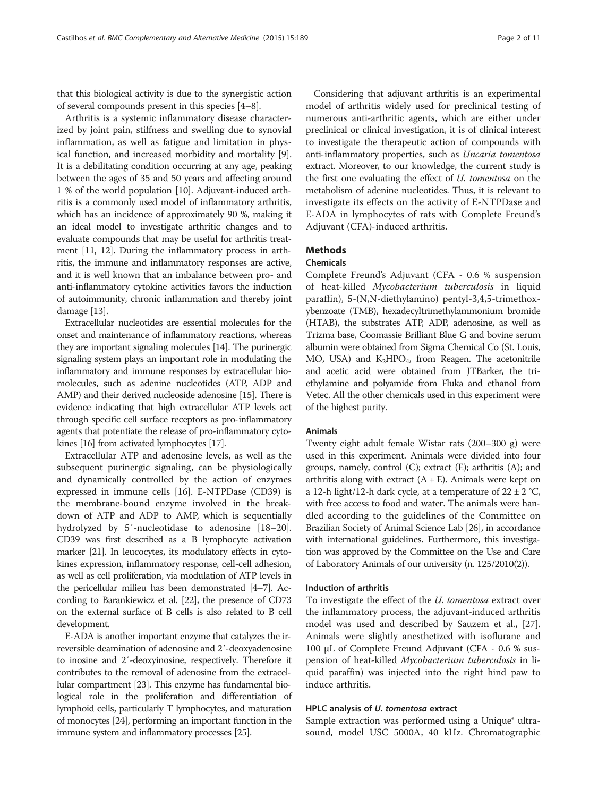that this biological activity is due to the synergistic action of several compounds present in this species [[4](#page-9-0)–[8](#page-9-0)].

Arthritis is a systemic inflammatory disease characterized by joint pain, stiffness and swelling due to synovial inflammation, as well as fatigue and limitation in physical function, and increased morbidity and mortality [\[9](#page-9-0)]. It is a debilitating condition occurring at any age, peaking between the ages of 35 and 50 years and affecting around 1 % of the world population [[10](#page-9-0)]. Adjuvant-induced arthritis is a commonly used model of inflammatory arthritis, which has an incidence of approximately 90 %, making it an ideal model to investigate arthritic changes and to evaluate compounds that may be useful for arthritis treatment [[11](#page-9-0), [12\]](#page-9-0). During the inflammatory process in arthritis, the immune and inflammatory responses are active, and it is well known that an imbalance between pro- and anti-inflammatory cytokine activities favors the induction of autoimmunity, chronic inflammation and thereby joint damage [\[13\]](#page-9-0).

Extracellular nucleotides are essential molecules for the onset and maintenance of inflammatory reactions, whereas they are important signaling molecules [[14](#page-9-0)]. The purinergic signaling system plays an important role in modulating the inflammatory and immune responses by extracellular biomolecules, such as adenine nucleotides (ATP, ADP and AMP) and their derived nucleoside adenosine [\[15\]](#page-9-0). There is evidence indicating that high extracellular ATP levels act through specific cell surface receptors as pro-inflammatory agents that potentiate the release of pro-inflammatory cytokines [\[16\]](#page-9-0) from activated lymphocytes [[17](#page-9-0)].

Extracellular ATP and adenosine levels, as well as the subsequent purinergic signaling, can be physiologically and dynamically controlled by the action of enzymes expressed in immune cells [\[16\]](#page-9-0). E-NTPDase (CD39) is the membrane-bound enzyme involved in the breakdown of ATP and ADP to AMP, which is sequentially hydrolyzed by 5′-nucleotidase to adenosine [[18](#page-9-0)–[20](#page-9-0)]. CD39 was first described as a B lymphocyte activation marker [[21](#page-9-0)]. In leucocytes, its modulatory effects in cytokines expression, inflammatory response, cell-cell adhesion, as well as cell proliferation, via modulation of ATP levels in the pericellular milieu has been demonstrated [[4](#page-9-0)–[7\]](#page-9-0). According to Barankiewicz et al. [[22](#page-9-0)], the presence of CD73 on the external surface of B cells is also related to B cell development.

E-ADA is another important enzyme that catalyzes the irreversible deamination of adenosine and 2′-deoxyadenosine to inosine and 2′-deoxyinosine, respectively. Therefore it contributes to the removal of adenosine from the extracellular compartment [\[23\]](#page-9-0). This enzyme has fundamental biological role in the proliferation and differentiation of lymphoid cells, particularly T lymphocytes, and maturation of monocytes [\[24](#page-9-0)], performing an important function in the immune system and inflammatory processes [\[25\]](#page-9-0).

Considering that adjuvant arthritis is an experimental model of arthritis widely used for preclinical testing of numerous anti-arthritic agents, which are either under preclinical or clinical investigation, it is of clinical interest to investigate the therapeutic action of compounds with anti-inflammatory properties, such as Uncaria tomentosa extract. Moreover, to our knowledge, the current study is the first one evaluating the effect of U. tomentosa on the metabolism of adenine nucleotides. Thus, it is relevant to investigate its effects on the activity of E-NTPDase and E-ADA in lymphocytes of rats with Complete Freund's Adjuvant (CFA)-induced arthritis.

# **Methods**

#### Chemicals

Complete Freund's Adjuvant (CFA - 0.6 % suspension of heat-killed Mycobacterium tuberculosis in liquid paraffin), 5-(N,N-diethylamino) pentyl-3,4,5-trimethoxybenzoate (TMB), hexadecyltrimethylammonium bromide (HTAB), the substrates ATP, ADP, adenosine, as well as Trizma base, Coomassie Brilliant Blue G and bovine serum albumin were obtained from Sigma Chemical Co (St. Louis, MO, USA) and  $K_2HPO_4$ , from Reagen. The acetonitrile and acetic acid were obtained from JTBarker, the triethylamine and polyamide from Fluka and ethanol from Vetec. All the other chemicals used in this experiment were of the highest purity.

# Animals

Twenty eight adult female Wistar rats (200–300 g) were used in this experiment. Animals were divided into four groups, namely, control (C); extract (E); arthritis (A); and arthritis along with extract  $(A + E)$ . Animals were kept on a 12-h light/12-h dark cycle, at a temperature of  $22 \pm 2$  °C, with free access to food and water. The animals were handled according to the guidelines of the Committee on Brazilian Society of Animal Science Lab [\[26](#page-9-0)], in accordance with international guidelines. Furthermore, this investigation was approved by the Committee on the Use and Care of Laboratory Animals of our university (n. 125/2010(2)).

#### Induction of arthritis

To investigate the effect of the U. tomentosa extract over the inflammatory process, the adjuvant-induced arthritis model was used and described by Sauzem et al., [\[27](#page-9-0)]. Animals were slightly anesthetized with isoflurane and 100 μL of Complete Freund Adjuvant (CFA - 0.6 % suspension of heat-killed Mycobacterium tuberculosis in liquid paraffin) was injected into the right hind paw to induce arthritis.

#### HPLC analysis of U. tomentosa extract

Sample extraction was performed using a Unique® ultrasound, model USC 5000A, 40 kHz. Chromatographic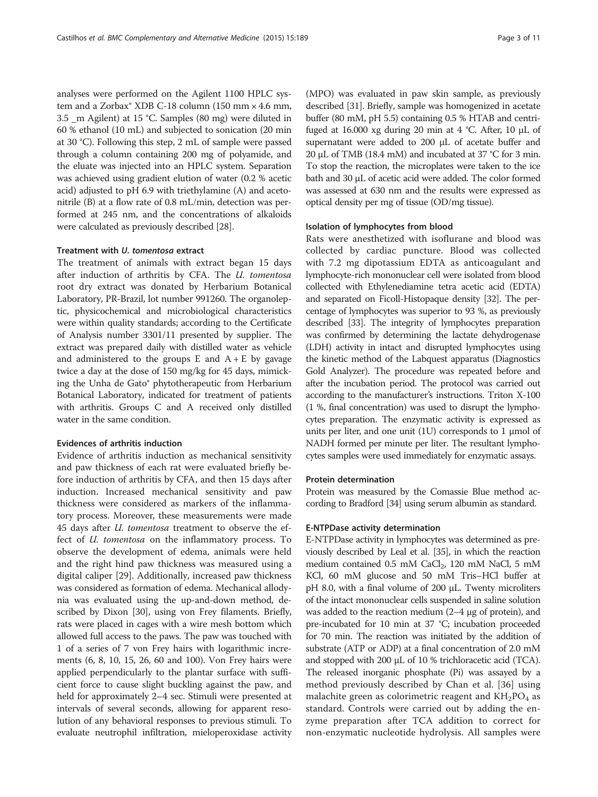analyses were performed on the Agilent 1100 HPLC system and a Zorbax® XDB C-18 column (150 mm × 4.6 mm, 3.5 \_m Agilent) at 15 °C. Samples (80 mg) were diluted in 60 % ethanol (10 mL) and subjected to sonication (20 min at 30 °C). Following this step, 2 mL of sample were passed through a column containing 200 mg of polyamide, and the eluate was injected into an HPLC system. Separation was achieved using gradient elution of water (0.2 % acetic acid) adjusted to pH 6.9 with triethylamine (A) and acetonitrile (B) at a flow rate of 0.8 mL/min, detection was performed at 245 nm, and the concentrations of alkaloids were calculated as previously described [\[28](#page-9-0)].

#### Treatment with U. tomentosa extract

The treatment of animals with extract began 15 days after induction of arthritis by CFA. The U. tomentosa root dry extract was donated by Herbarium Botanical Laboratory, PR-Brazil, lot number 991260. The organoleptic, physicochemical and microbiological characteristics were within quality standards; according to the Certificate of Analysis number 3301/11 presented by supplier. The extract was prepared daily with distilled water as vehicle and administered to the groups E and  $A + E$  by gavage twice a day at the dose of 150 mg/kg for 45 days, mimicking the Unha de Gato® phytotherapeutic from Herbarium Botanical Laboratory, indicated for treatment of patients with arthritis. Groups C and A received only distilled water in the same condition.

#### Evidences of arthritis induction

Evidence of arthritis induction as mechanical sensitivity and paw thickness of each rat were evaluated briefly before induction of arthritis by CFA, and then 15 days after induction. Increased mechanical sensitivity and paw thickness were considered as markers of the inflammatory process. Moreover, these measurements were made 45 days after *U. tomentosa* treatment to observe the effect of U. tomentosa on the inflammatory process. To observe the development of edema, animals were held and the right hind paw thickness was measured using a digital caliper [\[29](#page-9-0)]. Additionally, increased paw thickness was considered as formation of edema. Mechanical allodynia was evaluated using the up-and-down method, described by Dixon [[30\]](#page-9-0), using von Frey filaments. Briefly, rats were placed in cages with a wire mesh bottom which allowed full access to the paws. The paw was touched with 1 of a series of 7 von Frey hairs with logarithmic increments (6, 8, 10, 15, 26, 60 and 100). Von Frey hairs were applied perpendicularly to the plantar surface with sufficient force to cause slight buckling against the paw, and held for approximately 2–4 sec. Stimuli were presented at intervals of several seconds, allowing for apparent resolution of any behavioral responses to previous stimuli. To evaluate neutrophil infiltration, mieloperoxidase activity

(MPO) was evaluated in paw skin sample, as previously described [\[31\]](#page-9-0). Briefly, sample was homogenized in acetate buffer (80 mM, pH 5.5) containing 0.5 % HTAB and centrifuged at 16.000 xg during 20 min at 4 °C. After, 10 μL of supernatant were added to 200 μL of acetate buffer and 20 μL of TMB (18.4 mM) and incubated at 37 °C for 3 min. To stop the reaction, the microplates were taken to the ice bath and 30 μL of acetic acid were added. The color formed was assessed at 630 nm and the results were expressed as optical density per mg of tissue (OD/mg tissue).

#### Isolation of lymphocytes from blood

Rats were anesthetized with isoflurane and blood was collected by cardiac puncture. Blood was collected with 7.2 mg dipotassium EDTA as anticoagulant and lymphocyte-rich mononuclear cell were isolated from blood collected with Ethylenediamine tetra acetic acid (EDTA) and separated on Ficoll-Histopaque density [\[32](#page-9-0)]. The percentage of lymphocytes was superior to 93 %, as previously described [[33](#page-9-0)]. The integrity of lymphocytes preparation was confirmed by determining the lactate dehydrogenase (LDH) activity in intact and disrupted lymphocytes using the kinetic method of the Labquest apparatus (Diagnostics Gold Analyzer). The procedure was repeated before and after the incubation period. The protocol was carried out according to the manufacturer's instructions. Triton X-100 (1 %, final concentration) was used to disrupt the lymphocytes preparation. The enzymatic activity is expressed as units per liter, and one unit (1U) corresponds to 1 μmol of NADH formed per minute per liter. The resultant lymphocytes samples were used immediately for enzymatic assays.

#### Protein determination

Protein was measured by the Comassie Blue method according to Bradford [[34](#page-9-0)] using serum albumin as standard.

#### E-NTPDase activity determination

E-NTPDase activity in lymphocytes was determined as previously described by Leal et al. [\[35\]](#page-9-0), in which the reaction medium contained  $0.5$  mM CaCl<sub>2</sub>, 120 mM NaCl, 5 mM KCl, 60 mM glucose and 50 mM Tris–HCl buffer at pH 8.0, with a final volume of 200 μL. Twenty microliters of the intact mononuclear cells suspended in saline solution was added to the reaction medium (2–4 μg of protein), and pre-incubated for 10 min at 37 °C; incubation proceeded for 70 min. The reaction was initiated by the addition of substrate (ATP or ADP) at a final concentration of 2.0 mM and stopped with 200 μL of 10 % trichloracetic acid (TCA). The released inorganic phosphate (Pi) was assayed by a method previously described by Chan et al. [[36](#page-9-0)] using malachite green as colorimetric reagent and  $KH_2PO_4$  as standard. Controls were carried out by adding the enzyme preparation after TCA addition to correct for non-enzymatic nucleotide hydrolysis. All samples were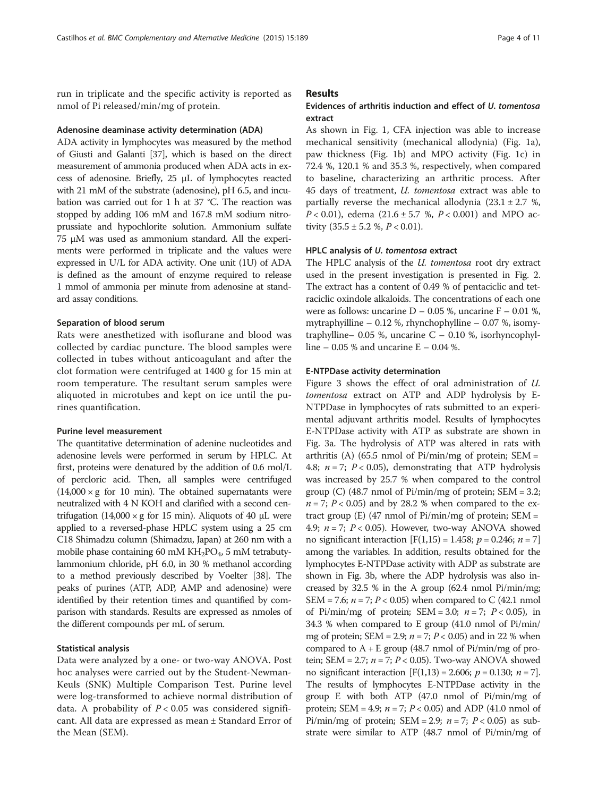run in triplicate and the specific activity is reported as nmol of Pi released/min/mg of protein.

#### Adenosine deaminase activity determination (ADA)

ADA activity in lymphocytes was measured by the method of Giusti and Galanti [\[37](#page-9-0)], which is based on the direct measurement of ammonia produced when ADA acts in excess of adenosine. Briefly, 25 μL of lymphocytes reacted with 21 mM of the substrate (adenosine), pH 6.5, and incubation was carried out for 1 h at 37 °C. The reaction was stopped by adding 106 mM and 167.8 mM sodium nitroprussiate and hypochlorite solution. Ammonium sulfate 75 μM was used as ammonium standard. All the experiments were performed in triplicate and the values were expressed in U/L for ADA activity. One unit (1U) of ADA is defined as the amount of enzyme required to release 1 mmol of ammonia per minute from adenosine at standard assay conditions.

#### Separation of blood serum

Rats were anesthetized with isoflurane and blood was collected by cardiac puncture. The blood samples were collected in tubes without anticoagulant and after the clot formation were centrifuged at 1400 g for 15 min at room temperature. The resultant serum samples were aliquoted in microtubes and kept on ice until the purines quantification.

# Purine level measurement

The quantitative determination of adenine nucleotides and adenosine levels were performed in serum by HPLC. At first, proteins were denatured by the addition of 0.6 mol/L of percloric acid. Then, all samples were centrifuged  $(14,000 \times g)$  for 10 min). The obtained supernatants were neutralized with 4 N KOH and clarified with a second centrifugation  $(14,000 \times g)$  for 15 min). Aliquots of 40 µL were applied to a reversed-phase HPLC system using a 25 cm C18 Shimadzu column (Shimadzu, Japan) at 260 nm with a mobile phase containing 60 mM  $KH_2PO_4$ , 5 mM tetrabutylammonium chloride, pH 6.0, in 30 % methanol according to a method previously described by Voelter [\[38](#page-9-0)]. The peaks of purines (ATP, ADP, AMP and adenosine) were identified by their retention times and quantified by comparison with standards. Results are expressed as nmoles of the different compounds per mL of serum.

# Statistical analysis

Data were analyzed by a one- or two-way ANOVA. Post hoc analyses were carried out by the Student-Newman-Keuls (SNK) Multiple Comparison Test. Purine level were log-transformed to achieve normal distribution of data. A probability of  $P < 0.05$  was considered significant. All data are expressed as mean ± Standard Error of the Mean (SEM).

#### Results

# Evidences of arthritis induction and effect of U. tomentosa extract

As shown in Fig. [1](#page-4-0), CFA injection was able to increase mechanical sensitivity (mechanical allodynia) (Fig. [1a](#page-4-0)), paw thickness (Fig. [1](#page-4-0)b) and MPO activity (Fig. [1](#page-4-0)c) in 72.4 %, 120.1 % and 35.3 %, respectively, when compared to baseline, characterizing an arthritic process. After 45 days of treatment, U. tomentosa extract was able to partially reverse the mechanical allodynia  $(23.1 \pm 2.7 \%)$  $P < 0.01$ ), edema (21.6 ± 5.7 %,  $P < 0.001$ ) and MPO activity  $(35.5 \pm 5.2 \%, P < 0.01)$ .

#### HPLC analysis of U. tomentosa extract

The HPLC analysis of the *U. tomentosa* root dry extract used in the present investigation is presented in Fig. [2](#page-5-0). The extract has a content of 0.49 % of pentaciclic and tetraciclic oxindole alkaloids. The concentrations of each one were as follows: uncarine  $D - 0.05$  %, uncarine  $F - 0.01$  %, mytraphyilline – 0.12 %, rhynchophylline – 0.07 %, isomytraphylline– 0.05 %, uncarine  $C - 0.10$  %, isorhyncophylline – 0.05 % and uncarine  $E - 0.04$  %.

#### E-NTPDase activity determination

Figure [3](#page-6-0) shows the effect of oral administration of U. tomentosa extract on ATP and ADP hydrolysis by E-NTPDase in lymphocytes of rats submitted to an experimental adjuvant arthritis model. Results of lymphocytes E-NTPDase activity with ATP as substrate are shown in Fig. [3](#page-6-0)a. The hydrolysis of ATP was altered in rats with arthritis (A) (65.5 nmol of  $Pi/min/mg$  of protein; SEM = 4.8;  $n = 7$ ;  $P < 0.05$ ), demonstrating that ATP hydrolysis was increased by 25.7 % when compared to the control group  $(C)$  (48.7 nmol of Pi/min/mg of protein; SEM = 3.2;  $n = 7$ ;  $P < 0.05$ ) and by 28.2 % when compared to the extract group  $(E)$  (47 nmol of Pi/min/mg of protein; SEM = 4.9;  $n = 7$ ;  $P < 0.05$ ). However, two-way ANOVA showed no significant interaction  $[F(1,15) = 1.458; p = 0.246; n = 7]$ among the variables. In addition, results obtained for the lymphocytes E-NTPDase activity with ADP as substrate are shown in Fig. [3b](#page-6-0), where the ADP hydrolysis was also increased by 32.5 % in the A group (62.4 nmol Pi/min/mg; SEM = 7.6;  $n = 7$ ;  $P < 0.05$ ) when compared to C (42.1 nmol of Pi/min/mg of protein; SEM = 3.0;  $n = 7$ ;  $P < 0.05$ ), in 34.3 % when compared to E group (41.0 nmol of Pi/min/ mg of protein; SEM = 2.9;  $n = 7$ ;  $P < 0.05$ ) and in 22 % when compared to  $A + E$  group (48.7 nmol of Pi/min/mg of protein; SEM = 2.7;  $n = 7$ ;  $P < 0.05$ ). Two-way ANOVA showed no significant interaction  $[F(1,13) = 2.606; p = 0.130; n = 7]$ . The results of lymphocytes E-NTPDase activity in the group E with both ATP (47.0 nmol of Pi/min/mg of protein; SEM = 4.9;  $n = 7$ ;  $P < 0.05$ ) and ADP (41.0 nmol of Pi/min/mg of protein; SEM = 2.9;  $n = 7$ ;  $P < 0.05$ ) as substrate were similar to ATP (48.7 nmol of Pi/min/mg of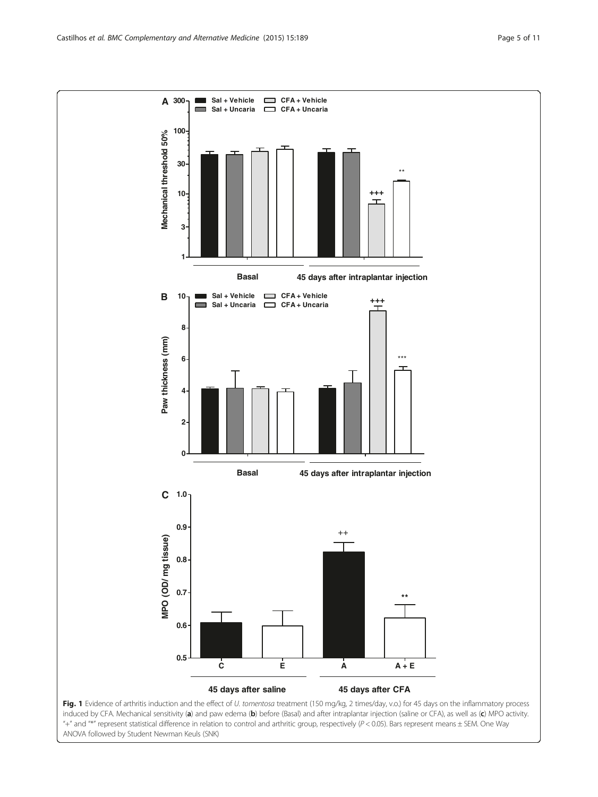<span id="page-4-0"></span>

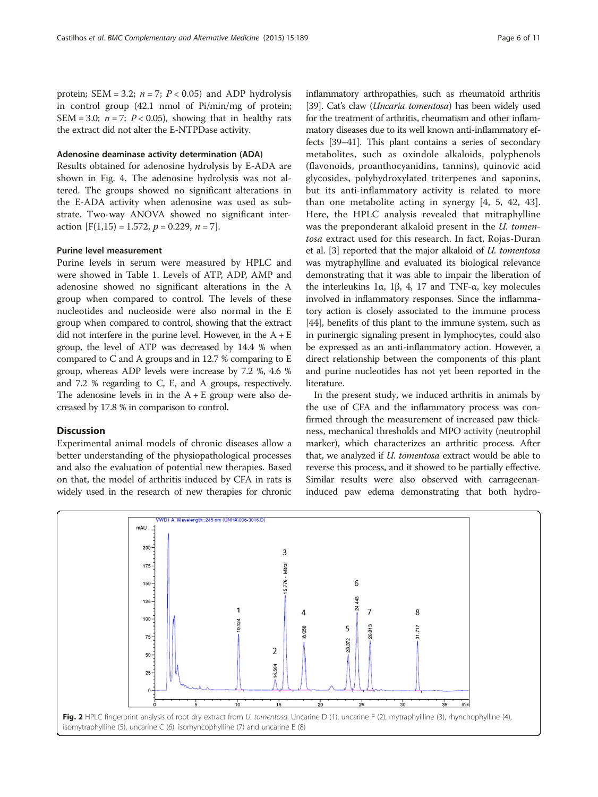<span id="page-5-0"></span>protein; SEM = 3.2;  $n = 7$ ;  $P < 0.05$ ) and ADP hydrolysis in control group (42.1 nmol of Pi/min/mg of protein; SEM = 3.0;  $n = 7$ ;  $P < 0.05$ ), showing that in healthy rats the extract did not alter the E-NTPDase activity.

#### Adenosine deaminase activity determination (ADA)

Results obtained for adenosine hydrolysis by E-ADA are shown in Fig. [4](#page-7-0). The adenosine hydrolysis was not altered. The groups showed no significant alterations in the E-ADA activity when adenosine was used as substrate. Two-way ANOVA showed no significant interaction  $[F(1,15) = 1.572, p = 0.229, n = 7]$ .

#### Purine level measurement

Purine levels in serum were measured by HPLC and were showed in Table [1](#page-7-0). Levels of ATP, ADP, AMP and adenosine showed no significant alterations in the A group when compared to control. The levels of these nucleotides and nucleoside were also normal in the E group when compared to control, showing that the extract did not interfere in the purine level. However, in the  $A + E$ group, the level of ATP was decreased by 14.4 % when compared to C and A groups and in 12.7 % comparing to E group, whereas ADP levels were increase by 7.2 %, 4.6 % and 7.2 % regarding to C, E, and A groups, respectively. The adenosine levels in in the  $A + E$  group were also decreased by 17.8 % in comparison to control.

# **Discussion**

Experimental animal models of chronic diseases allow a better understanding of the physiopathological processes and also the evaluation of potential new therapies. Based on that, the model of arthritis induced by CFA in rats is widely used in the research of new therapies for chronic inflammatory arthropathies, such as rheumatoid arthritis [[39](#page-9-0)]. Cat's claw (*Uncaria tomentosa*) has been widely used for the treatment of arthritis, rheumatism and other inflammatory diseases due to its well known anti-inflammatory effects [[39](#page-9-0)–[41](#page-9-0)]. This plant contains a series of secondary metabolites, such as oxindole alkaloids, polyphenols (flavonoids, proanthocyanidins, tannins), quinovic acid glycosides, polyhydroxylated triterpenes and saponins, but its anti-inflammatory activity is related to more than one metabolite acting in synergy [\[4](#page-9-0), [5, 42, 43](#page-9-0)]. Here, the HPLC analysis revealed that mitraphylline was the preponderant alkaloid present in the U. tomentosa extract used for this research. In fact, Rojas-Duran et al. [\[3](#page-9-0)] reported that the major alkaloid of U. tomentosa was mytraphylline and evaluated its biological relevance demonstrating that it was able to impair the liberation of the interleukins 1α, 1β, 4, 17 and TNF-α, key molecules involved in inflammatory responses. Since the inflammatory action is closely associated to the immune process [[44](#page-9-0)], benefits of this plant to the immune system, such as in purinergic signaling present in lymphocytes, could also be expressed as an anti-inflammatory action. However, a direct relationship between the components of this plant and purine nucleotides has not yet been reported in the literature.

In the present study, we induced arthritis in animals by the use of CFA and the inflammatory process was confirmed through the measurement of increased paw thickness, mechanical thresholds and MPO activity (neutrophil marker), which characterizes an arthritic process. After that, we analyzed if U. tomentosa extract would be able to reverse this process, and it showed to be partially effective. Similar results were also observed with carrageenaninduced paw edema demonstrating that both hydro-

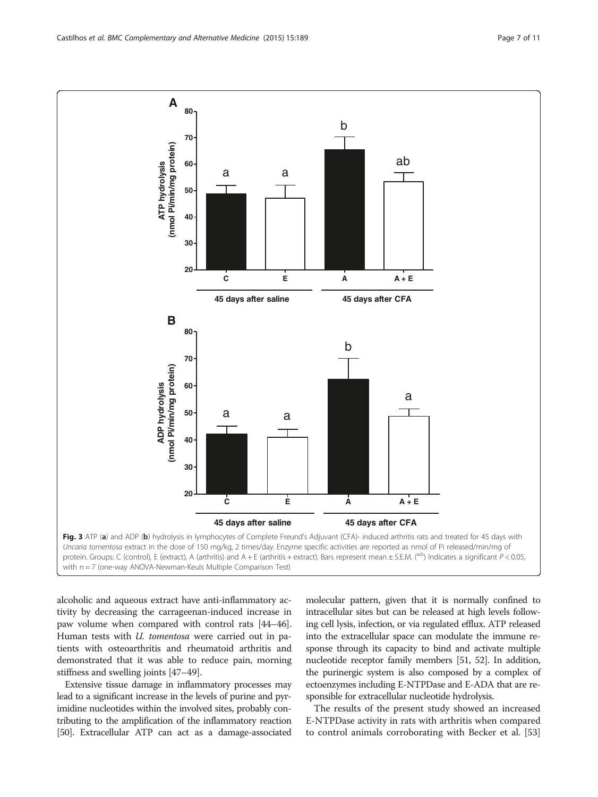<span id="page-6-0"></span>

alcoholic and aqueous extract have anti-inflammatory activity by decreasing the carrageenan-induced increase in paw volume when compared with control rats [\[44](#page-9-0)–[46](#page-9-0)]. Human tests with *U. tomentosa* were carried out in patients with osteoarthritis and rheumatoid arthritis and demonstrated that it was able to reduce pain, morning stiffness and swelling joints [\[47](#page-9-0)–[49\]](#page-9-0).

Extensive tissue damage in inflammatory processes may lead to a significant increase in the levels of purine and pyrimidine nucleotides within the involved sites, probably contributing to the amplification of the inflammatory reaction [[50](#page-9-0)]. Extracellular ATP can act as a damage-associated molecular pattern, given that it is normally confined to intracellular sites but can be released at high levels following cell lysis, infection, or via regulated efflux. ATP released into the extracellular space can modulate the immune response through its capacity to bind and activate multiple nucleotide receptor family members [[51](#page-9-0), [52\]](#page-10-0). In addition, the purinergic system is also composed by a complex of ectoenzymes including E-NTPDase and E-ADA that are responsible for extracellular nucleotide hydrolysis.

The results of the present study showed an increased E-NTPDase activity in rats with arthritis when compared to control animals corroborating with Becker et al. [[53](#page-10-0)]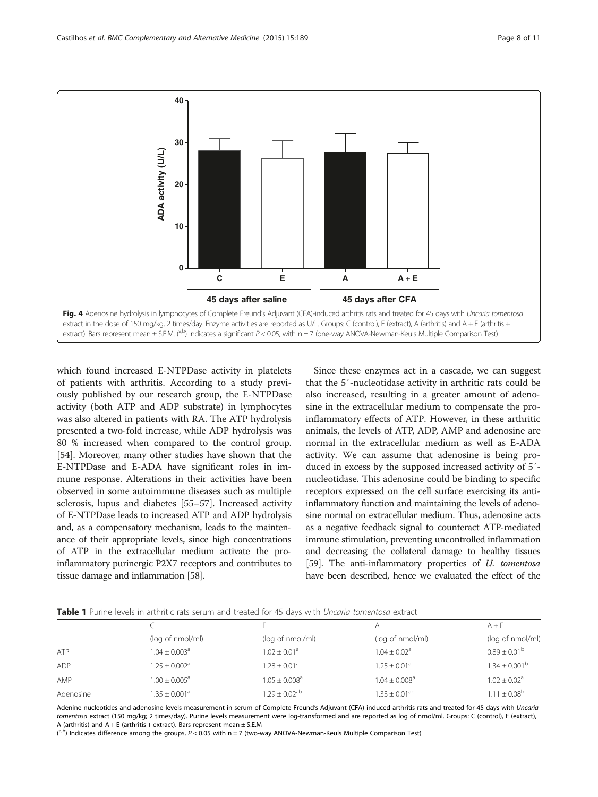<span id="page-7-0"></span>

which found increased E-NTPDase activity in platelets of patients with arthritis. According to a study previously published by our research group, the E-NTPDase activity (both ATP and ADP substrate) in lymphocytes was also altered in patients with RA. The ATP hydrolysis presented a two-fold increase, while ADP hydrolysis was 80 % increased when compared to the control group. [[54\]](#page-10-0). Moreover, many other studies have shown that the E-NTPDase and E-ADA have significant roles in immune response. Alterations in their activities have been observed in some autoimmune diseases such as multiple sclerosis, lupus and diabetes [\[55](#page-10-0)–[57\]](#page-10-0). Increased activity of E-NTPDase leads to increased ATP and ADP hydrolysis and, as a compensatory mechanism, leads to the maintenance of their appropriate levels, since high concentrations of ATP in the extracellular medium activate the proinflammatory purinergic P2X7 receptors and contributes to tissue damage and inflammation [\[58\]](#page-10-0).

Since these enzymes act in a cascade, we can suggest that the 5′-nucleotidase activity in arthritic rats could be also increased, resulting in a greater amount of adenosine in the extracellular medium to compensate the proinflammatory effects of ATP. However, in these arthritic animals, the levels of ATP, ADP, AMP and adenosine are normal in the extracellular medium as well as E-ADA activity. We can assume that adenosine is being produced in excess by the supposed increased activity of 5′ nucleotidase. This adenosine could be binding to specific receptors expressed on the cell surface exercising its antiinflammatory function and maintaining the levels of adenosine normal on extracellular medium. Thus, adenosine acts as a negative feedback signal to counteract ATP-mediated immune stimulation, preventing uncontrolled inflammation and decreasing the collateral damage to healthy tissues [[59](#page-10-0)]. The anti-inflammatory properties of *U. tomentosa* have been described, hence we evaluated the effect of the

|  |  | Table 1 Purine levels in arthritic rats serum and treated for 45 davs with <i>Uncaria tomentosa</i> extract |  |  |  |  |  |  |  |
|--|--|-------------------------------------------------------------------------------------------------------------|--|--|--|--|--|--|--|
|--|--|-------------------------------------------------------------------------------------------------------------|--|--|--|--|--|--|--|

|            |                               |                               |                               | $A + E$                      |  |  |  |  |
|------------|-------------------------------|-------------------------------|-------------------------------|------------------------------|--|--|--|--|
|            | (log of nmol/ml)              | (log of nmol/ml)              | (log of nmol/ml)              | (log of nmol/ml)             |  |  |  |  |
| ATP        | $1.04 \pm 0.003$ <sup>a</sup> | $1.02 \pm 0.01$ <sup>a</sup>  | $1.04 \pm 0.02$ <sup>a</sup>  | $0.89 \pm 0.01^{\rm b}$      |  |  |  |  |
| <b>ADP</b> | $1.25 \pm 0.002^a$            | $1.28 + 0.01a$                | $1.25 + 0.01^a$               | $1.34 \pm 0.001^{\rm b}$     |  |  |  |  |
| AMP        | $1.00 \pm 0.005^{\circ}$      | $1.05 \pm 0.008$ <sup>a</sup> | $1.04 \pm 0.008$ <sup>a</sup> | $1.02 \pm 0.02$ <sup>a</sup> |  |  |  |  |
| Adenosine  | $1.35 \pm 0.001^a$            | $1.29 + 0.02$ <sup>ab</sup>   | $1.33 + 0.01^{ab}$            | $1.11 \pm 0.08^{\rm b}$      |  |  |  |  |
|            |                               |                               |                               |                              |  |  |  |  |

Adenine nucleotides and adenosine levels measurement in serum of Complete Freund's Adjuvant (CFA)-induced arthritis rats and treated for 45 days with Uncaria tomentosa extract (150 mg/kg; 2 times/day). Purine levels measurement were log-transformed and are reported as log of nmol/ml. Groups: C (control), E (extract), A (arthritis) and  $A + E$  (arthritis + extract). Bars represent mean  $\pm$  S.E.M

(a,b) Indicates difference among the groups,  $P < 0.05$  with n = 7 (two-way ANOVA-Newman-Keuls Multiple Comparison Test)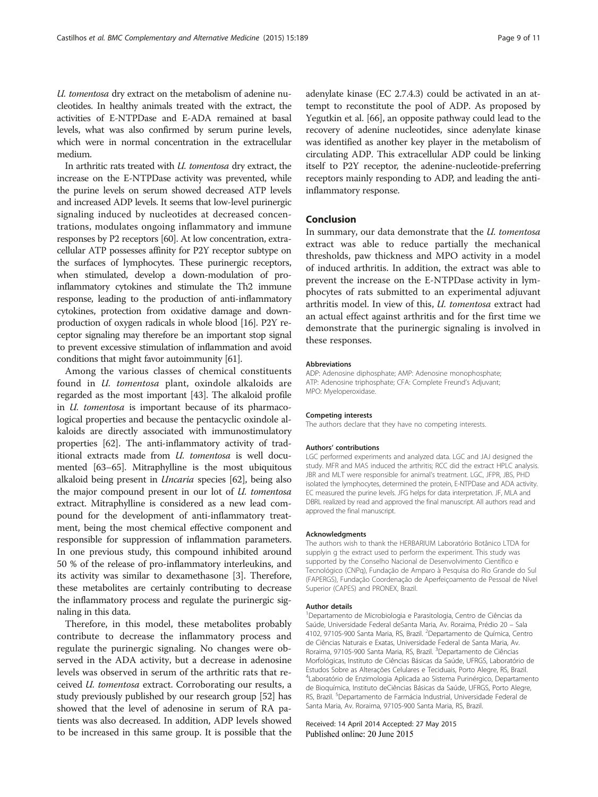U. tomentosa dry extract on the metabolism of adenine nucleotides. In healthy animals treated with the extract, the activities of E-NTPDase and E-ADA remained at basal levels, what was also confirmed by serum purine levels, which were in normal concentration in the extracellular medium.

In arthritic rats treated with U. tomentosa dry extract, the increase on the E-NTPDase activity was prevented, while the purine levels on serum showed decreased ATP levels and increased ADP levels. It seems that low-level purinergic signaling induced by nucleotides at decreased concentrations, modulates ongoing inflammatory and immune responses by P2 receptors [\[60\]](#page-10-0). At low concentration, extracellular ATP possesses affinity for P2Y receptor subtype on the surfaces of lymphocytes. These purinergic receptors, when stimulated, develop a down-modulation of proinflammatory cytokines and stimulate the Th2 immune response, leading to the production of anti-inflammatory cytokines, protection from oxidative damage and downproduction of oxygen radicals in whole blood [[16](#page-9-0)]. P2Y receptor signaling may therefore be an important stop signal to prevent excessive stimulation of inflammation and avoid conditions that might favor autoimmunity [\[61](#page-10-0)].

Among the various classes of chemical constituents found in U. tomentosa plant, oxindole alkaloids are regarded as the most important [[43](#page-9-0)]. The alkaloid profile in U. tomentosa is important because of its pharmacological properties and because the pentacyclic oxindole alkaloids are directly associated with immunostimulatory properties [\[62\]](#page-10-0). The anti-inflammatory activity of traditional extracts made from U. tomentosa is well documented [[63](#page-10-0)–[65\]](#page-10-0). Mitraphylline is the most ubiquitous alkaloid being present in Uncaria species [[62](#page-10-0)], being also the major compound present in our lot of U. tomentosa extract. Mitraphylline is considered as a new lead compound for the development of anti-inflammatory treatment, being the most chemical effective component and responsible for suppression of inflammation parameters. In one previous study, this compound inhibited around 50 % of the release of pro-inflammatory interleukins, and its activity was similar to dexamethasone [[3\]](#page-9-0). Therefore, these metabolites are certainly contributing to decrease the inflammatory process and regulate the purinergic signaling in this data.

Therefore, in this model, these metabolites probably contribute to decrease the inflammatory process and regulate the purinergic signaling. No changes were observed in the ADA activity, but a decrease in adenosine levels was observed in serum of the arthritic rats that received U. tomentosa extract. Corroborating our results, a study previously published by our research group [\[52](#page-10-0)] has showed that the level of adenosine in serum of RA patients was also decreased. In addition, ADP levels showed to be increased in this same group. It is possible that the

adenylate kinase (EC 2.7.4.3) could be activated in an attempt to reconstitute the pool of ADP. As proposed by Yegutkin et al. [\[66\]](#page-10-0), an opposite pathway could lead to the recovery of adenine nucleotides, since adenylate kinase was identified as another key player in the metabolism of circulating ADP. This extracellular ADP could be linking itself to P2Y receptor, the adenine-nucleotide-preferring receptors mainly responding to ADP, and leading the antiinflammatory response.

#### Conclusion

In summary, our data demonstrate that the U. tomentosa extract was able to reduce partially the mechanical thresholds, paw thickness and MPO activity in a model of induced arthritis. In addition, the extract was able to prevent the increase on the E-NTPDase activity in lymphocytes of rats submitted to an experimental adjuvant arthritis model. In view of this, U. tomentosa extract had an actual effect against arthritis and for the first time we demonstrate that the purinergic signaling is involved in these responses.

#### Abbreviations

ADP: Adenosine diphosphate; AMP: Adenosine monophosphate; ATP: Adenosine triphosphate; CFA: Complete Freund's Adjuvant; MPO: Myeloperoxidase.

#### Competing interests

The authors declare that they have no competing interests.

#### Authors' contributions

LGC performed experiments and analyzed data. LGC and JAJ designed the study. MFR and MAS induced the arthritis; RCC did the extract HPLC analysis. JBR and MLT were responsible for animal's treatment. LGC, JFPR, JBS, PHD isolated the lymphocytes, determined the protein, E-NTPDase and ADA activity. EC measured the purine levels. JFG helps for data interpretation. JF, MLA and DBRL realized by read and approved the final manuscript. All authors read and approved the final manuscript.

#### Acknowledgments

The authors wish to thank the HERBARIUM Laboratório Botânico LTDA for supplyin g the extract used to perform the experiment. This study was supported by the Conselho Nacional de Desenvolvimento Científico e Tecnológico (CNPq), Fundação de Amparo à Pesquisa do Rio Grande do Sul (FAPERGS), Fundação Coordenação de Aperfeiçoamento de Pessoal de Nível Superior (CAPES) and PRONEX, Brazil.

#### Author details

1 Departamento de Microbiologia e Parasitologia, Centro de Ciências da Saúde, Universidade Federal deSanta Maria, Av. Roraima, Prédio 20 – Sala 4102, 97105-900 Santa Maria, RS, Brazil. <sup>2</sup>Departamento de Química, Centro de Ciências Naturais e Exatas, Universidade Federal de Santa Maria, Av. Roraima, 97105-900 Santa Maria, RS, Brazil. <sup>3</sup>Departamento de Ciências Morfológicas, Instituto de Ciências Básicas da Saúde, UFRGS, Laboratório de Estudos Sobre as Alterações Celulares e Teciduais, Porto Alegre, RS, Brazil. 4 Laboratório de Enzimologia Aplicada ao Sistema Purinérgico, Departamento de Bioquímica, Instituto deCiências Básicas da Saúde, UFRGS, Porto Alegre, RS, Brazil. <sup>5</sup>Departamento de Farmácia Industrial, Universidade Federal de Santa Maria, Av. Roraima, 97105-900 Santa Maria, RS, Brazil.

#### Received: 14 April 2014 Accepted: 27 May 2015 Published online: 20 June 2015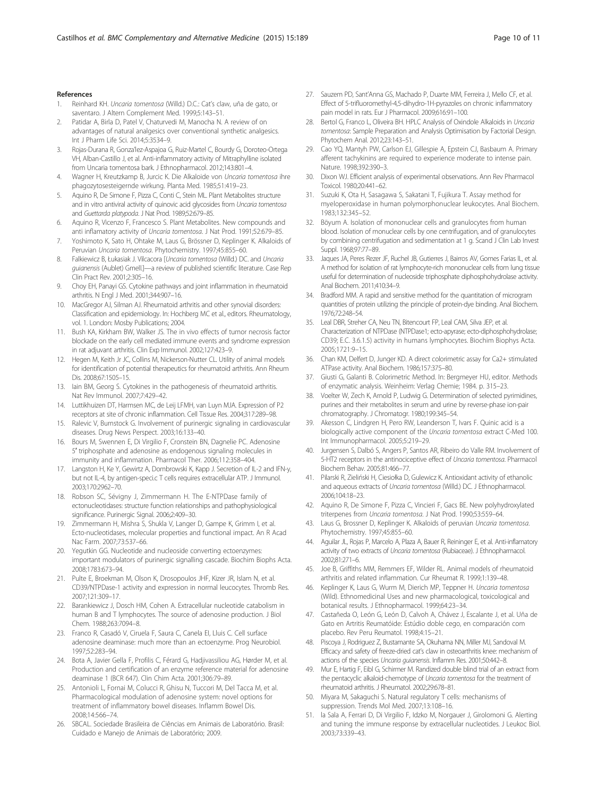#### <span id="page-9-0"></span>References

- 1. Reinhard KH. Uncaria tomentosa (Willd.) D.C.: Cat's claw, uña de gato, or saventaro. J Altern Complement Med. 1999;5:143–51.
- Patidar A, Birla D, Patel V, Chaturvedi M, Manocha N. A review of on advantages of natural analgesics over conventional synthetic analgesics. Int J Pharm Life Sci. 2014;5:3534–9.
- 3. Rojas-Durana R, Gonza'lez-Aspajoa G, Ruiz-Martel C, Bourdy G, Doroteo-Ortega VH, Alban-Castillo J, et al. Anti-inflammatory activity of Mitraphylline isolated from Uncaria tomentosa bark. J Ethnopharmacol. 2012;143:801–4.
- 4. Wagner H, Kreutzkamp B, Jurcic K. Die Alkaloide von Uncaria tomentosa ihre phagozytosesteigernde wirkung. Planta Med. 1985;51:419–23.
- 5. Aquino R, De Simone F, Pizza C, Conti C, Stein ML. Plant Metabolites structure and in vitro antiviral activity of quinovic acid glycosides from Uncaria tomentosa and Guettarda platypoda. J Nat Prod. 1989;52:679–85.
- 6. Aquino R, Vicenzo F, Francesco S. Plant Metabolites. New compounds and anti inflamatory activity of Uncaria tomentosa. J Nat Prod. 1991;52:679–85.
- 7. Yoshimoto K, Sato H, Ohtake M, Laus G, Brössner D, Keplinger K. Alkaloids of Peruvian Uncaria tomentosa. Phytochemistry. 1997;45:855–60.
- 8. Falkiewicz B, Łukasiak J. Vilcacora [Uncaria tomentosa (Willd.) DC. and Uncaria guianensis (Aublet) Gmell.]—a review of published scientific literature. Case Rep Clin Pract Rev. 2001;2:305–16.
- 9. Choy EH, Panayi GS. Cytokine pathways and joint inflammation in rheumatoid arthritis. N Engl J Med. 2001;344:907–16.
- 10. MacGregor AJ, Silman AJ. Rheumatoid arthritis and other synovial disorders: Classification and epidemiology. In: Hochberg MC et al., editors. Rheumatology, vol. 1. London: Mosby Publications; 2004.
- 11. Bush KA, Kirkham BW, Walker JS. The in vivo effects of tumor necrosis factor blockade on the early cell mediated immune events and syndrome expression in rat adjuvant arthritis. Clin Exp Immunol. 2002;127:423–9.
- 12. Hegen M, Keith Jr JC, Collins M, Nickerson-Nutter CL. Utility of animal models for identification of potential therapeutics for rheumatoid arthritis. Ann Rheum Dis. 2008;67:1505–15.
- 13. Iain BM, Georg S. Cytokines in the pathogenesis of rheumatoid arthritis. Nat Rev Immunol. 2007;7:429–42.
- 14. Luttikhuizen DT, Harmsen MC, de Leij LFMH, van Luyn MJA. Expression of P2 receptors at site of chronic inflammation. Cell Tissue Res. 2004;317:289–98.
- 15. Ralevic V, Burnstock G. Involvement of purinergic signaling in cardiovascular diseases. Drug News Perspect. 2003;16:133–40.
- 16. Bours M, Swennen E, Di Virgilio F, Cronstein BN, Dagnelie PC. Adenosine 5′ triphosphate and adenosine as endogenous signaling molecules in immunity and inflammation. Pharmacol Ther. 2006;112:358–404.
- 17. Langston H, Ke Y, Gewirtz A, Dombrowski K, Kapp J. Secretion of IL-2 and IFN-y, but not IL-4, by antigen-speci.c T cells requires extracellular ATP. J Immunol. 2003;170:2962–70.
- 18. Robson SC, Sévigny J, Zimmermann H. The E-NTPDase family of ectonucleotidases: structure function relationships and pathophysiological significance. Purinergic Signal. 2006;2:409–30.
- 19. Zimmermann H, Mishra S, Shukla V, Langer D, Gampe K, Grimm I, et al. Ecto-nucleotidases, molecular properties and functional impact. An R Acad Nac Farm. 2007;73:537–66.
- 20. Yegutkin GG. Nucleotide and nucleoside converting ectoenzymes: important modulators of purinergic signalling cascade. Biochim Biophs Acta. 2008;1783:673–94.
- 21. Pulte E, Broekman M, Olson K, Drosopoulos JHF, Kizer JR, Islam N, et al. CD39/NTPDase-1 activity and expression in normal leucocytes. Thromb Res. 2007;121:309–17.
- 22. Barankiewicz J, Dosch HM, Cohen A. Extracellular nucleotide catabolism in human B and T lymphocytes. The source of adenosine production. J Biol Chem. 1988;263:7094–8.
- 23. Franco R, Casadó V, Ciruela F, Saura C, Canela EI, Lluis C. Cell surface adenosine deaminase: much more than an ectoenzyme. Prog Neurobiol. 1997;52:283–94.
- 24. Bota A, Javier Gella F, Profilis C, Férard G, Hadjivassiliou AG, Hørder M, et al. Production and certification of an enzyme reference material for adenosine deaminase 1 (BCR 647). Clin Chim Acta. 2001;306:79–89.
- 25. Antonioli L, Fornai M, Colucci R, Ghisu N, Tuccori M, Del Tacca M, et al. Pharmacological modulation of adenosine system: novel options for treatment of inflammatory bowel diseases. Inflamm Bowel Dis. 2008;14:566–74.
- 26. SBCAL. Sociedade Brasileira de Ciências em Animais de Laboratório. Brasil: Cuidado e Manejo de Animais de Laboratório; 2009.
- 27. Sauzem PD, Sant'Anna GS, Machado P, Duarte MM, Ferreira J, Mello CF, et al. Effect of 5-trifluoromethyl-4,5-dihydro-1H-pyrazoles on chronic inflammatory pain model in rats. Eur J Pharmacol. 2009;616:91–100.
- 28. Bertol G, Franco L, Oliveira BH, HPLC Analysis of Oxindole Alkaloids in Uncaria tomentosa: Sample Preparation and Analysis Optimisation by Factorial Design. Phytochem Anal. 2012;23:143–51.
- 29. Cao YQ, Mantyh PW, Carlson EJ, Gillespie A, Epstein CJ, Basbaum A. Primary afferent tachykinins are required to experience moderate to intense pain. Nature. 1998;392:390–3.
- 30. Dixon WJ. Efficient analysis of experimental observations. Ann Rev Pharmacol Toxicol. 1980;20:441–62.
- 31. Suzuki K, Ota H, Sasagawa S, Sakatani T, Fujikura T. Assay method for myeloperoxidase in human polymorphonuclear leukocytes. Anal Biochem. 1983;132:345–52.
- 32. Böyum A. Isolation of mononuclear cells and granulocytes from human blood. Isolation of monuclear cells by one centrifugation, and of granulocytes by combining centrifugation and sedimentation at 1 g. Scand J Clin Lab Invest Suppl. 1968;97:77–89.
- 33. Jaques JA, Peres Rezer JF, Ruchel JB, Gutierres J, Bairros AV, Gomes Farias IL, et al. A method for isolation of rat lymphocyte-rich mononuclear cells from lung tissue useful for determination of nucleoside triphosphate diphosphohydrolase activity. Anal Biochem. 2011;410:34–9.
- 34. Bradford MM. A rapid and sensitive method for the quantitation of microgram quantities of protein utilizing the principle of protein-dye binding. Anal Biochem. 1976;72:248–54.
- 35. Leal DBR, Streher CA, Neu TN, Bitencourt FP, Leal CAM, Silva JEP, et al. Characterization of NTPDase (NTPDase1; ecto-apyrase; ecto-diphosphohydrolase; CD39; E.C. 3.6.1.5) activity in humans lymphocytes. Biochim Biophys Acta. 2005;1721:9–15.
- 36. Chan KM, Delfert D, Junger KD. A direct colorimetric assay for Ca2+ stimulated ATPase activity. Anal Biochem. 1986;157:375–80.
- 37. Giusti G, Galanti B. Colorimetric Method. In: Bergmeyer HU, editor. Methods of enzymatic analysis. Weinheim: Verlag Chemie; 1984. p. 315–23.
- 38. Voelter W, Zech K, Arnold P, Ludwig G. Determination of selected pyrimidines, purines and their metabolites in serum and urine by reverse-phase ion-pair chromatography. J Chromatogr. 1980;199:345–54.
- 39. Akesson C, Lindgren H, Pero RW, Leanderson T, Ivars F. Quinic acid is a biologically active component of the Uncaria tomentosa extract C-Med 100. Int Immunopharmacol. 2005;5:219–29.
- 40. Jurgensen S, Dalbó S, Angers P, Santos AR, Ribeiro do Valle RM. Involvement of 5-HT2 receptors in the antinociceptive effect of Uncaria tomentosa. Pharmacol Biochem Behav. 2005;81:466–77.
- 41. Pilarski R, Zieliński H, Ciesiołka D, Gulewicz K. Antioxidant activity of ethanolic and aqueous extracts of Uncaria tomentosa (Willd.) DC. J Ethnopharmacol. 2006;104:18–23.
- 42. Aquino R, De Simone F, Pizza C, Vincieri F, Gacs BE. New polyhydroxylated triterpenes from Uncaria tomentosa. J Nat Prod. 1990;53:559–64.
- 43. Laus G, Brossner D, Keplinger K. Alkaloids of peruvian Uncaria tomentosa. Phytochemistry. 1997;45:855–60.
- 44. Aguilar JL, Rojas P, Marcelo A, Plaza A, Bauer R, Reininger E, et al. Anti-inflamatory activity of two extracts of Uncaria tomentosa (Rubiaceae). J Ethnopharmacol. 2002;81:271–6.
- 45. Joe B, Griffiths MM, Remmers EF, Wilder RL. Animal models of rheumatoid arthritis and related inflammation. Cur Rheumat R. 1999;1:139–48.
- 46. Keplinger K, Laus G, Wurm M, Dierich MP, Teppner H. Uncaria tomentosa (Wild). Ethnomedicinal Uses and new pharmacological, toxicological and botanical results. J Ethnopharmacol. 1999;64:23–34.
- 47. Castañeda O, León G, León D, Calvoh A, Chávez J, Escalante J, et al. Uña de Gato en Artritis Reumatóide: Estúdio doble cego, en comparación com placebo. Rev Peru Reumatol. 1998;4:15–21.
- 48. Piscoya J, Rodriguez Z, Bustamante SA, Okuhama NN, Miller MJ, Sandoval M. Efficacy and safety of freeze-dried cat's claw in osteoarthritis knee: mechanism of actions of the species Uncaria guianensis. Inflamm Res. 2001;50:442-8.
- 49. Mur E, Hartig F, Eibl G, Schirmer M. Randized double blind trial of an extract from the pentacyclic alkaloid-chemotype of Uncaria tomentosa for the treatment of rheumatoid arthritis. J Rheumatol. 2002;29:678–81.
- 50. Miyara M, Sakaguchi S. Natural regulatory T cells: mechanisms of suppression. Trends Mol Med. 2007;13:108–16.
- 51. la Sala A, Ferrari D, Di Virgilio F, Idzko M, Norgauer J, Girolomoni G. Alerting and tuning the immune response by extracellular nucleotides. J Leukoc Biol. 2003;73:339–43.